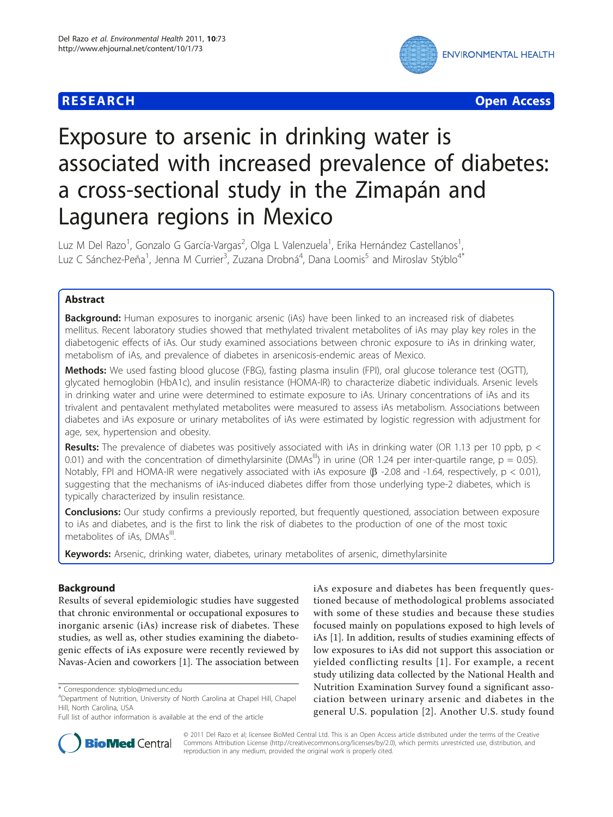

**RESEARCH CONTROL** CONTROL CONTROL CONTROL CONTROL CONTROL CONTROL CONTROL CONTROL CONTROL CONTROL CONTROL CONTROL

# Exposure to arsenic in drinking water is associated with increased prevalence of diabetes: a cross-sectional study in the Zimapán and Lagunera regions in Mexico

Luz M Del Razo<sup>1</sup>, Gonzalo G García-Vargas<sup>2</sup>, Olga L Valenzuela<sup>1</sup>, Erika Hernández Castellanos<sup>1</sup> , Luz C Sánchez-Peña<sup>1</sup>, Jenna M Currier<sup>3</sup>, Zuzana Drobná<sup>4</sup>, Dana Loomis<sup>5</sup> and Miroslav Stýblo<sup>4\*</sup>

# Abstract

Background: Human exposures to inorganic arsenic (iAs) have been linked to an increased risk of diabetes mellitus. Recent laboratory studies showed that methylated trivalent metabolites of iAs may play key roles in the diabetogenic effects of iAs. Our study examined associations between chronic exposure to iAs in drinking water, metabolism of iAs, and prevalence of diabetes in arsenicosis-endemic areas of Mexico.

Methods: We used fasting blood glucose (FBG), fasting plasma insulin (FPI), oral glucose tolerance test (OGTT), glycated hemoglobin (HbA1c), and insulin resistance (HOMA-IR) to characterize diabetic individuals. Arsenic levels in drinking water and urine were determined to estimate exposure to iAs. Urinary concentrations of iAs and its trivalent and pentavalent methylated metabolites were measured to assess iAs metabolism. Associations between diabetes and iAs exposure or urinary metabolites of iAs were estimated by logistic regression with adjustment for age, sex, hypertension and obesity.

Results: The prevalence of diabetes was positively associated with iAs in drinking water (OR 1.13 per 10 ppb,  $p <$ 0.01) and with the concentration of dimethylarsinite (DMAs<sup>III</sup>) in urine (OR 1.24 per inter-quartile range,  $p = 0.05$ ). Notably, FPI and HOMA-IR were negatively associated with iAs exposure  $(\beta$  -2.08 and -1.64, respectively,  $p < 0.01$ ), suggesting that the mechanisms of iAs-induced diabetes differ from those underlying type-2 diabetes, which is typically characterized by insulin resistance.

**Conclusions:** Our study confirms a previously reported, but frequently questioned, association between exposure to iAs and diabetes, and is the first to link the risk of diabetes to the production of one of the most toxic metabolites of iAs, DMAs<sup>III</sup>. .

Keywords: Arsenic, drinking water, diabetes, urinary metabolites of arsenic, dimethylarsinite

# Background

Results of several epidemiologic studies have suggested that chronic environmental or occupational exposures to inorganic arsenic (iAs) increase risk of diabetes. These studies, as well as, other studies examining the diabetogenic effects of iAs exposure were recently reviewed by Navas-Acien and coworkers [\[1](#page-9-0)]. The association between iAs exposure and diabetes has been frequently questioned because of methodological problems associated with some of these studies and because these studies focused mainly on populations exposed to high levels of iAs [[1\]](#page-9-0). In addition, results of studies examining effects of low exposures to iAs did not support this association or yielded conflicting results [[1\]](#page-9-0). For example, a recent study utilizing data collected by the National Health and Nutrition Examination Survey found a significant association between urinary arsenic and diabetes in the general U.S. population [\[2\]](#page-9-0). Another U.S. study found



© 2011 Del Razo et al; licensee BioMed Central Ltd. This is an Open Access article distributed under the terms of the Creative Commons Attribution License [\(http://creativecommons.org/licenses/by/2.0](http://creativecommons.org/licenses/by/2.0)), which permits unrestricted use, distribution, and reproduction in any medium, provided the original work is properly cited.

<sup>\*</sup> Correspondence: [styblo@med.unc.edu](mailto:styblo@med.unc.edu)

<sup>4</sup> Department of Nutrition, University of North Carolina at Chapel Hill, Chapel Hill, North Carolina, USA

Full list of author information is available at the end of the article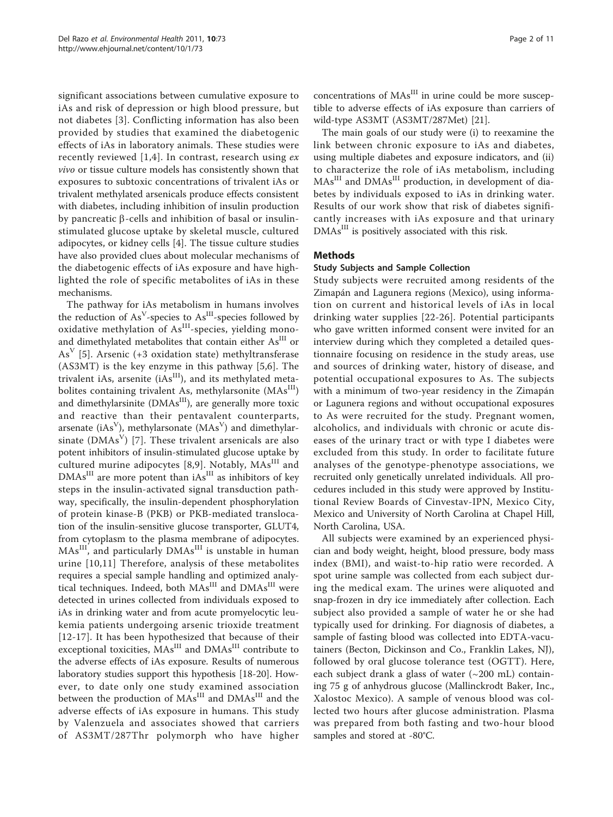significant associations between cumulative exposure to iAs and risk of depression or high blood pressure, but not diabetes [[3](#page-9-0)]. Conflicting information has also been provided by studies that examined the diabetogenic effects of iAs in laboratory animals. These studies were recently reviewed  $[1,4]$  $[1,4]$ . In contrast, research using  $ex$ vivo or tissue culture models has consistently shown that exposures to subtoxic concentrations of trivalent iAs or trivalent methylated arsenicals produce effects consistent with diabetes, including inhibition of insulin production by pancreatic  $\beta$ -cells and inhibition of basal or insulinstimulated glucose uptake by skeletal muscle, cultured adipocytes, or kidney cells [[4\]](#page-9-0). The tissue culture studies have also provided clues about molecular mechanisms of the diabetogenic effects of iAs exposure and have highlighted the role of specific metabolites of iAs in these mechanisms.

The pathway for iAs metabolism in humans involves the reduction of  $As<sup>V</sup>$ -species to  $As<sup>III</sup>$ -species followed by oxidative methylation of As<sup>III</sup>-species, yielding monoand dimethylated metabolites that contain either As<sup>III</sup> or As<sup>V</sup> [[5\]](#page-9-0). Arsenic (+3 oxidation state) methyltransferase (AS3MT) is the key enzyme in this pathway [\[5](#page-9-0),[6\]](#page-9-0). The trivalent iAs, arsenite (iAs $^{III}$ ), and its methylated metabolites containing trivalent As, methylarsonite  $(MAs<sup>III</sup>)$ and dimethylarsinite  $(DMAs^{III})$ , are generally more toxic and reactive than their pentavalent counterparts, arsenate (iAs<sup>V</sup>), methylarsonate (MAs<sup>V</sup>) and dimethylarsinate ( $\text{DMAs}^{\text{V}}$ ) [\[7](#page-9-0)]. These trivalent arsenicals are also potent inhibitors of insulin-stimulated glucose uptake by cultured murine adipocytes [[8,9](#page-9-0)]. Notably,  $MAs<sup>III</sup>$  and  $\text{DMAs}^{\text{III}}$  are more potent than  $\text{iAs}^{\text{III}}$  as inhibitors of key steps in the insulin-activated signal transduction pathway, specifically, the insulin-dependent phosphorylation of protein kinase-B (PKB) or PKB-mediated translocation of the insulin-sensitive glucose transporter, GLUT4, from cytoplasm to the plasma membrane of adipocytes. MAs<sup>III</sup>, and particularly DMAs<sup>III</sup> is unstable in human urine [[10,11\]](#page-9-0) Therefore, analysis of these metabolites requires a special sample handling and optimized analytical techniques. Indeed, both MAs<sup>III</sup> and DMAs<sup>III</sup> were detected in urines collected from individuals exposed to iAs in drinking water and from acute promyelocytic leukemia patients undergoing arsenic trioxide treatment [[12](#page-9-0)-[17](#page-9-0)]. It has been hypothesized that because of their exceptional toxicities, MAs<sup>III</sup> and DMAs<sup>III</sup> contribute to the adverse effects of iAs exposure. Results of numerous laboratory studies support this hypothesis [[18](#page-9-0)-[20\]](#page-9-0). However, to date only one study examined association between the production of MAs<sup>III</sup> and DMAs<sup>III</sup> and the adverse effects of iAs exposure in humans. This study by Valenzuela and associates showed that carriers of AS3MT/287Thr polymorph who have higher concentrations of MAs<sup>III</sup> in urine could be more susceptible to adverse effects of iAs exposure than carriers of wild-type AS3MT (AS3MT/287Met) [\[21\]](#page-9-0).

The main goals of our study were (i) to reexamine the link between chronic exposure to iAs and diabetes, using multiple diabetes and exposure indicators, and (ii) to characterize the role of iAs metabolism, including MAs<sup>III</sup> and DMAs<sup>III</sup> production, in development of diabetes by individuals exposed to iAs in drinking water. Results of our work show that risk of diabetes significantly increases with iAs exposure and that urinary DMAs<sup>III</sup> is positively associated with this risk.

# Methods

### Study Subjects and Sample Collection

Study subjects were recruited among residents of the Zimapán and Lagunera regions (Mexico), using information on current and historical levels of iAs in local drinking water supplies [[22](#page-9-0)-[26](#page-9-0)]. Potential participants who gave written informed consent were invited for an interview during which they completed a detailed questionnaire focusing on residence in the study areas, use and sources of drinking water, history of disease, and potential occupational exposures to As. The subjects with a minimum of two-year residency in the Zimapán or Lagunera regions and without occupational exposures to As were recruited for the study. Pregnant women, alcoholics, and individuals with chronic or acute diseases of the urinary tract or with type I diabetes were excluded from this study. In order to facilitate future analyses of the genotype-phenotype associations, we recruited only genetically unrelated individuals. All procedures included in this study were approved by Institutional Review Boards of Cinvestav-IPN, Mexico City, Mexico and University of North Carolina at Chapel Hill, North Carolina, USA.

All subjects were examined by an experienced physician and body weight, height, blood pressure, body mass index (BMI), and waist-to-hip ratio were recorded. A spot urine sample was collected from each subject during the medical exam. The urines were aliquoted and snap-frozen in dry ice immediately after collection. Each subject also provided a sample of water he or she had typically used for drinking. For diagnosis of diabetes, a sample of fasting blood was collected into EDTA-vacutainers (Becton, Dickinson and Co., Franklin Lakes, NJ), followed by oral glucose tolerance test (OGTT). Here, each subject drank a glass of water  $(\sim 200 \text{ mL})$  containing 75 g of anhydrous glucose (Mallinckrodt Baker, Inc., Xalostoc Mexico). A sample of venous blood was collected two hours after glucose administration. Plasma was prepared from both fasting and two-hour blood samples and stored at -80°C.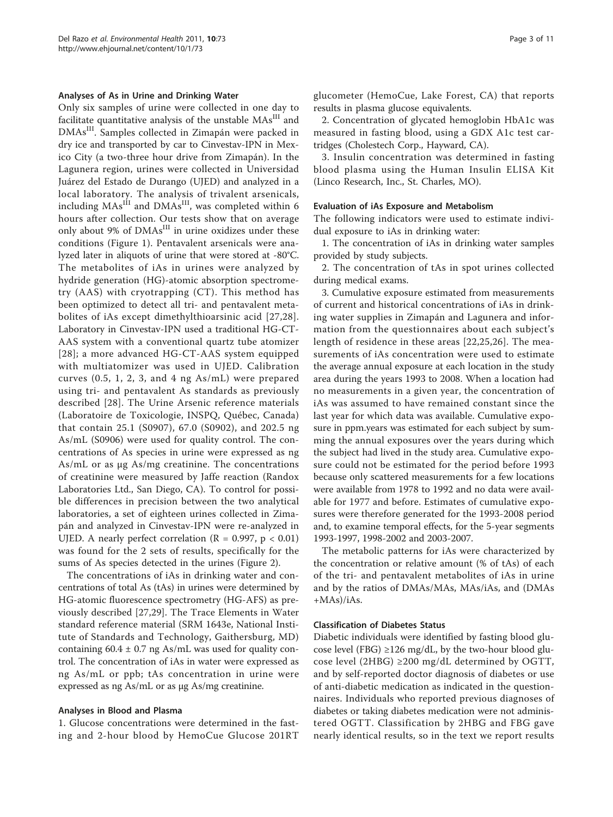#### Analyses of As in Urine and Drinking Water

Only six samples of urine were collected in one day to facilitate quantitative analysis of the unstable MAs<sup>III</sup> and DMAsIII. Samples collected in Zimapán were packed in dry ice and transported by car to Cinvestav-IPN in Mexico City (a two-three hour drive from Zimapán). In the Lagunera region, urines were collected in Universidad Juárez del Estado de Durango (UJED) and analyzed in a local laboratory. The analysis of trivalent arsenicals, including MAs<sup>III</sup> and DMAs<sup>III</sup>, was completed within 6 hours after collection. Our tests show that on average only about 9% of DMAs<sup>III</sup> in urine oxidizes under these conditions (Figure [1\)](#page-3-0). Pentavalent arsenicals were analyzed later in aliquots of urine that were stored at -80°C. The metabolites of iAs in urines were analyzed by hydride generation (HG)-atomic absorption spectrometry (AAS) with cryotrapping (CT). This method has been optimized to detect all tri- and pentavalent metabolites of iAs except dimethylthioarsinic acid [[27](#page-9-0),[28\]](#page-9-0). Laboratory in Cinvestav-IPN used a traditional HG-CT-AAS system with a conventional quartz tube atomizer [[28\]](#page-9-0); a more advanced HG-CT-AAS system equipped with multiatomizer was used in UJED. Calibration curves (0.5, 1, 2, 3, and 4 ng As/mL) were prepared using tri- and pentavalent As standards as previously described [\[28\]](#page-9-0). The Urine Arsenic reference materials (Laboratoire de Toxicologie, INSPQ, Québec, Canada) that contain 25.1 (S0907), 67.0 (S0902), and 202.5 ng As/mL (S0906) were used for quality control. The concentrations of As species in urine were expressed as ng As/mL or as μg As/mg creatinine. The concentrations of creatinine were measured by Jaffe reaction (Randox Laboratories Ltd., San Diego, CA). To control for possible differences in precision between the two analytical laboratories, a set of eighteen urines collected in Zimapán and analyzed in Cinvestav-IPN were re-analyzed in UJED. A nearly perfect correlation ( $R = 0.997$ ,  $p < 0.01$ ) was found for the 2 sets of results, specifically for the sums of As species detected in the urines (Figure [2](#page-4-0)).

The concentrations of iAs in drinking water and concentrations of total As (tAs) in urines were determined by HG-atomic fluorescence spectrometry (HG-AFS) as previously described [[27,29](#page-9-0)]. The Trace Elements in Water standard reference material (SRM 1643e, National Institute of Standards and Technology, Gaithersburg, MD) containing  $60.4 \pm 0.7$  ng As/mL was used for quality control. The concentration of iAs in water were expressed as ng As/mL or ppb; tAs concentration in urine were expressed as ng As/mL or as μg As/mg creatinine.

#### Analyses in Blood and Plasma

1. Glucose concentrations were determined in the fasting and 2-hour blood by HemoCue Glucose 201RT glucometer (HemoCue, Lake Forest, CA) that reports results in plasma glucose equivalents.

2. Concentration of glycated hemoglobin HbA1c was measured in fasting blood, using a GDX A1c test cartridges (Cholestech Corp., Hayward, CA).

3. Insulin concentration was determined in fasting blood plasma using the Human Insulin ELISA Kit (Linco Research, Inc., St. Charles, MO).

## Evaluation of iAs Exposure and Metabolism

The following indicators were used to estimate individual exposure to iAs in drinking water:

1. The concentration of iAs in drinking water samples provided by study subjects.

2. The concentration of tAs in spot urines collected during medical exams.

3. Cumulative exposure estimated from measurements of current and historical concentrations of iAs in drinking water supplies in Zimapán and Lagunera and information from the questionnaires about each subject's length of residence in these areas [\[22,25](#page-9-0),[26\]](#page-9-0). The measurements of iAs concentration were used to estimate the average annual exposure at each location in the study area during the years 1993 to 2008. When a location had no measurements in a given year, the concentration of iAs was assumed to have remained constant since the last year for which data was available. Cumulative exposure in ppm.years was estimated for each subject by summing the annual exposures over the years during which the subject had lived in the study area. Cumulative exposure could not be estimated for the period before 1993 because only scattered measurements for a few locations were available from 1978 to 1992 and no data were available for 1977 and before. Estimates of cumulative exposures were therefore generated for the 1993-2008 period and, to examine temporal effects, for the 5-year segments 1993-1997, 1998-2002 and 2003-2007.

The metabolic patterns for iAs were characterized by the concentration or relative amount (% of tAs) of each of the tri- and pentavalent metabolites of iAs in urine and by the ratios of DMAs/MAs, MAs/iAs, and (DMAs  $+MAs$ /iAs.

#### Classification of Diabetes Status

Diabetic individuals were identified by fasting blood glucose level (FBG)  $\geq$ 126 mg/dL, by the two-hour blood glucose level (2HBG)  $\geq$ 200 mg/dL determined by OGTT, and by self-reported doctor diagnosis of diabetes or use of anti-diabetic medication as indicated in the questionnaires. Individuals who reported previous diagnoses of diabetes or taking diabetes medication were not administered OGTT. Classification by 2HBG and FBG gave nearly identical results, so in the text we report results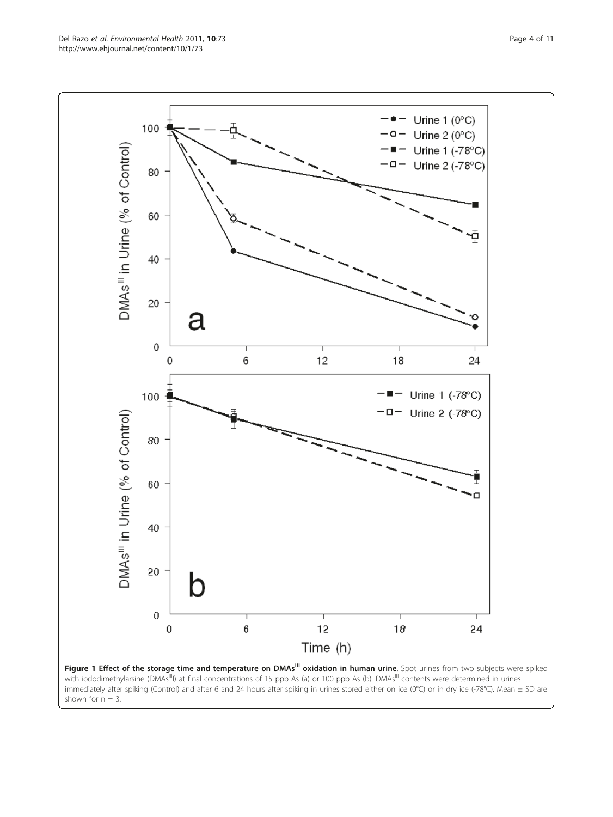<span id="page-3-0"></span>

shown for  $n = 3$ .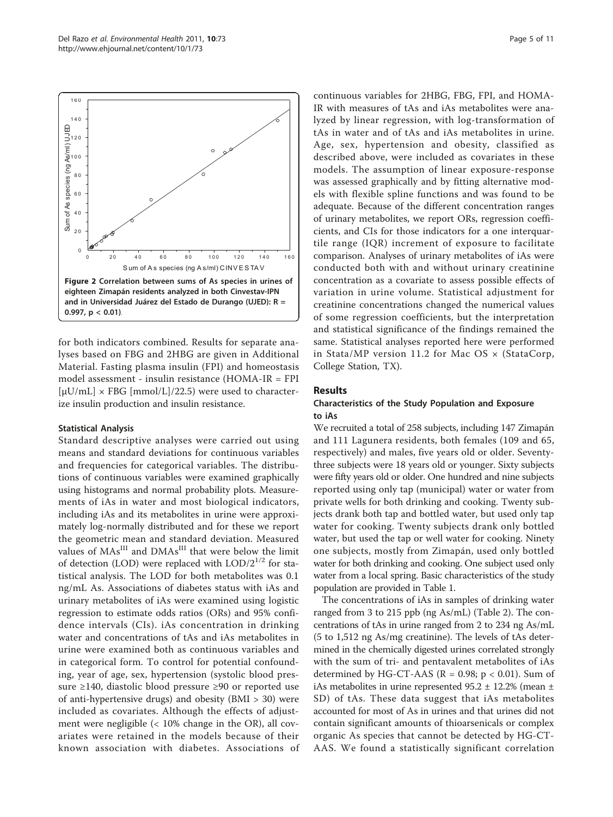<span id="page-4-0"></span>

for both indicators combined. Results for separate analyses based on FBG and 2HBG are given in Additional Material. Fasting plasma insulin (FPI) and homeostasis model assessment - insulin resistance (HOMA-IR = FPI  $[\mu U/mL] \times FBG$  [mmol/L]/22.5) were used to characterize insulin production and insulin resistance.

### Statistical Analysis

Standard descriptive analyses were carried out using means and standard deviations for continuous variables and frequencies for categorical variables. The distributions of continuous variables were examined graphically using histograms and normal probability plots. Measurements of iAs in water and most biological indicators, including iAs and its metabolites in urine were approximately log-normally distributed and for these we report the geometric mean and standard deviation. Measured values of MAs<sup>III</sup> and DMAs<sup>III</sup> that were below the limit of detection (LOD) were replaced with  $LOD/2^{1/2}$  for statistical analysis. The LOD for both metabolites was 0.1 ng/mL As. Associations of diabetes status with iAs and urinary metabolites of iAs were examined using logistic regression to estimate odds ratios (ORs) and 95% confidence intervals (CIs). iAs concentration in drinking water and concentrations of tAs and iAs metabolites in urine were examined both as continuous variables and in categorical form. To control for potential confounding, year of age, sex, hypertension (systolic blood pressure ≥140, diastolic blood pressure ≥90 or reported use of anti-hypertensive drugs) and obesity (BMI > 30) were included as covariates. Although the effects of adjustment were negligible (< 10% change in the OR), all covariates were retained in the models because of their known association with diabetes. Associations of continuous variables for 2HBG, FBG, FPI, and HOMA-IR with measures of tAs and iAs metabolites were analyzed by linear regression, with log-transformation of tAs in water and of tAs and iAs metabolites in urine. Age, sex, hypertension and obesity, classified as described above, were included as covariates in these models. The assumption of linear exposure-response was assessed graphically and by fitting alternative models with flexible spline functions and was found to be adequate. Because of the different concentration ranges of urinary metabolites, we report ORs, regression coefficients, and CIs for those indicators for a one interquartile range (IQR) increment of exposure to facilitate comparison. Analyses of urinary metabolites of iAs were conducted both with and without urinary creatinine concentration as a covariate to assess possible effects of variation in urine volume. Statistical adjustment for creatinine concentrations changed the numerical values of some regression coefficients, but the interpretation and statistical significance of the findings remained the same. Statistical analyses reported here were performed in Stata/MP version 11.2 for Mac OS  $\times$  (StataCorp, College Station, TX).

# Results

# Characteristics of the Study Population and Exposure to iAs

We recruited a total of 258 subjects, including 147 Zimapán and 111 Lagunera residents, both females (109 and 65, respectively) and males, five years old or older. Seventythree subjects were 18 years old or younger. Sixty subjects were fifty years old or older. One hundred and nine subjects reported using only tap (municipal) water or water from private wells for both drinking and cooking. Twenty subjects drank both tap and bottled water, but used only tap water for cooking. Twenty subjects drank only bottled water, but used the tap or well water for cooking. Ninety one subjects, mostly from Zimapán, used only bottled water for both drinking and cooking. One subject used only water from a local spring. Basic characteristics of the study population are provided in Table [1.](#page-5-0)

The concentrations of iAs in samples of drinking water ranged from 3 to 215 ppb (ng As/mL) (Table [2\)](#page-5-0). The concentrations of tAs in urine ranged from 2 to 234 ng As/mL (5 to 1,512 ng As/mg creatinine). The levels of tAs determined in the chemically digested urines correlated strongly with the sum of tri- and pentavalent metabolites of iAs determined by HG-CT-AAS ( $R = 0.98$ ;  $p < 0.01$ ). Sum of iAs metabolites in urine represented  $95.2 \pm 12.2\%$  (mean  $\pm$ SD) of tAs. These data suggest that iAs metabolites accounted for most of As in urines and that urines did not contain significant amounts of thioarsenicals or complex organic As species that cannot be detected by HG-CT-AAS. We found a statistically significant correlation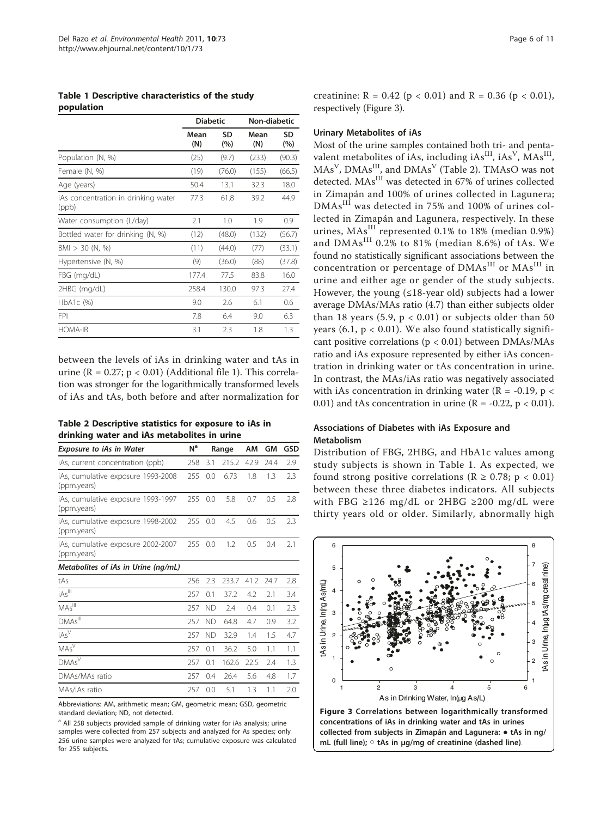<span id="page-5-0"></span>Table 1 Descriptive characteristics of the study population

|                                              | <b>Diabetic</b> |           | Non-diabetic |           |  |
|----------------------------------------------|-----------------|-----------|--------------|-----------|--|
|                                              | Mean<br>(N)     | SD<br>(%) | Mean<br>(N)  | SD<br>(%) |  |
| Population (N, %)                            | (25)            | (9.7)     | (233)        | (90.3)    |  |
| Female (N, %)                                | (19)            | (76.0)    | (155)        | (66.5)    |  |
| Age (years)                                  | 50.4            | 13.1      | 32.3         | 18.0      |  |
| iAs concentration in drinking water<br>(ppb) | 77.3            | 61.8      | 39.2         | 44.9      |  |
| Water consumption (L/day)                    | 2.1             | 1.0       | 1.9          | 0.9       |  |
| Bottled water for drinking (N, %)            | (12)            | (48.0)    | (132)        | (56.7)    |  |
| $BM > 30$ (N, %)                             | (11)            | (44.0)    | (77)         | (33.1)    |  |
| Hypertensive (N, %)                          | (9)             | (36.0)    | (88)         | (37.8)    |  |
| FBG (mg/dL)                                  | 177.4           | 77.5      | 83.8         | 16.0      |  |
| 2HBG (mg/dL)                                 | 258.4           | 130.0     | 97.3         | 27.4      |  |
| $HbA1c$ $(\%)$                               | 9.0             | 2.6       | 6.1          | 0.6       |  |
| <b>FPI</b>                                   | 7.8             | 6.4       | 9.0          | 6.3       |  |
| <b>HOMA-IR</b>                               | 3.1             | 2.3       | 1.8          | 1.3       |  |

between the levels of iAs in drinking water and tAs in urine ( $R = 0.27$ ;  $p < 0.01$ ) (Additional file [1](#page-8-0)). This correlation was stronger for the logarithmically transformed levels of iAs and tAs, both before and after normalization for

Table 2 Descriptive statistics for exposure to iAs in drinking water and iAs metabolites in urine

| <b>Exposure to iAs in Water</b>                           | N <sup>a</sup> | Range |                 |    | AM GM | GSD |  |
|-----------------------------------------------------------|----------------|-------|-----------------|----|-------|-----|--|
| iAs, current concentration (ppb)                          | 258.           | - 3.1 | 215.2 42.9 24.4 |    |       | 29  |  |
| iAs, cumulative exposure 1993-2008<br>(ppm.years)         | 255            | -0.0  | 6.73            | 18 | 13    | フ3  |  |
| iAs, cumulative exposure 1993-1997 255 0.0<br>(ppm.years) |                |       | 5.8             | 07 | 05    | 28  |  |
| iAs, cumulative exposure 1998-2002 255 0.0<br>(ppm.years) |                |       | 4.5             | 06 | 05    | フ3  |  |
| iAs, cumulative exposure 2002-2007 255<br>(ppm.years)     |                | 0.0   | 1.2             | 05 | 04    | -21 |  |

| tAs                            |     |             | 256 2.3 233.7 41.2 24.7 2.8 |     |        |     |
|--------------------------------|-----|-------------|-----------------------------|-----|--------|-----|
| $\overline{iAs}$               | 257 | $\bigcap$ 1 | 37.2 4.2 2.1                |     |        | 3.4 |
| MAs                            | 257 |             | ND 2.4                      | 0.4 | 0.1    | 2.3 |
| DMAs <sup>III</sup>            | 257 |             | ND 64.8 4.7                 |     | 0.9    | 3.2 |
| iAs <sup>V</sup>               | 257 | - ND        | 32.9 1.4                    |     | 1.5    | 4.7 |
| $\overline{\text{MAS}^{\vee}}$ | 257 |             | $0.1$ 36.2 5.0              |     | $-1.1$ | 1.1 |
| DMAs <sup>V</sup>              | 257 |             | $0.1$ 162.6 22.5 2.4        |     |        | 1.3 |
| DMAs/MAs ratio                 |     |             | 257 0.4 26.4 5.6 4.8        |     |        | 1.7 |
| MAs/iAs ratio                  | 257 | 0.0         | 5.1                         | 1.3 | 11     | 2.0 |
|                                |     |             |                             |     |        |     |

Abbreviations: AM, arithmetic mean; GM, geometric mean; GSD, geometric standard deviation; ND, not detected.

<sup>a</sup> All 258 subjects provided sample of drinking water for iAs analysis; urine samples were collected from 257 subjects and analyzed for As species; only 256 urine samples were analyzed for tAs; cumulative exposure was calculated for 255 subjects.

creatinine:  $R = 0.42$  ( $p < 0.01$ ) and  $R = 0.36$  ( $p < 0.01$ ), respectively (Figure 3).

### Urinary Metabolites of iAs

Most of the urine samples contained both tri- and pentavalent metabolites of iAs, including iAs<sup>III</sup>, iAs<sup>V</sup>, MAs<sup>III</sup>,  $MAs<sup>V</sup>, DMAs<sup>III</sup>, and DMAs<sup>V</sup> (Table 2). TMAsO was not$ detected. MAs<sup>III</sup> was detected in 67% of urines collected in Zimapán and 100% of urines collected in Lagunera; DMAs<sup>III</sup> was detected in 75% and 100% of urines collected in Zimapán and Lagunera, respectively. In these urines, MAs<sup>III</sup> represented 0.1% to 18% (median 0.9%) and  $\text{DMAs}^{\text{III}}$  0.2% to 81% (median 8.6%) of tAs. We found no statistically significant associations between the concentration or percentage of  $DMAs<sup>III</sup>$  or  $MAs<sup>III</sup>$  in urine and either age or gender of the study subjects. However, the young  $(\leq 18$ -year old) subjects had a lower average DMAs/MAs ratio (4.7) than either subjects older than 18 years (5.9,  $p < 0.01$ ) or subjects older than 50 years (6.1,  $p < 0.01$ ). We also found statistically significant positive correlations ( $p < 0.01$ ) between DMAs/MAs ratio and iAs exposure represented by either iAs concentration in drinking water or tAs concentration in urine. In contrast, the MAs/iAs ratio was negatively associated with iAs concentration in drinking water ( $R = -0.19$ ,  $p <$ 0.01) and tAs concentration in urine ( $R = -0.22$ ,  $p < 0.01$ ).

# Associations of Diabetes with iAs Exposure and Metabolism

Distribution of FBG, 2HBG, and HbA1c values among study subjects is shown in Table 1. As expected, we found strong positive correlations ( $R \ge 0.78$ ;  $p < 0.01$ ) between these three diabetes indicators. All subjects with FBG ≥126 mg/dL or 2HBG ≥200 mg/dL were thirty years old or older. Similarly, abnormally high



concentrations of iAs in drinking water and tAs in urines collected from subjects in Zimapán and Lagunera: ● tAs in ng/ mL (full line);  $\circ$  tAs in  $\mu$ g/mg of creatinine (dashed line).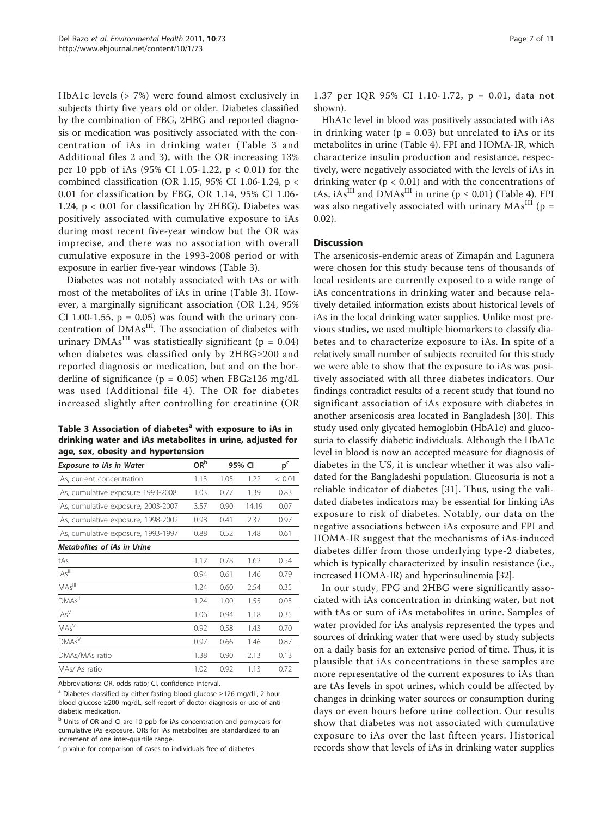HbA1c levels (> 7%) were found almost exclusively in subjects thirty five years old or older. Diabetes classified by the combination of FBG, 2HBG and reported diagnosis or medication was positively associated with the concentration of iAs in drinking water (Table 3 and Additional files [2](#page-8-0) and [3\)](#page-8-0), with the OR increasing 13% per 10 ppb of iAs (95% CI 1.05-1.22, p < 0.01) for the combined classification (OR 1.15, 95% CI 1.06-1.24,  $p <$ 0.01 for classification by FBG, OR 1.14, 95% CI 1.06- 1.24, p < 0.01 for classification by 2HBG). Diabetes was positively associated with cumulative exposure to iAs during most recent five-year window but the OR was imprecise, and there was no association with overall cumulative exposure in the 1993-2008 period or with exposure in earlier five-year windows (Table 3).

Diabetes was not notably associated with tAs or with most of the metabolites of iAs in urine (Table 3). However, a marginally significant association (OR 1.24, 95% CI 1.00-1.55,  $p = 0.05$ ) was found with the urinary concentration of DMAs<sup>III</sup>. The association of diabetes with urinary DMAs<sup>III</sup> was statistically significant ( $p = 0.04$ ) when diabetes was classified only by 2HBG≥200 and reported diagnosis or medication, but and on the borderline of significance ( $p = 0.05$ ) when FBG≥126 mg/dL was used (Additional file [4\)](#page-8-0). The OR for diabetes increased slightly after controlling for creatinine (OR

Table 3 Association of diabetes $a$  with exposure to iAs in drinking water and iAs metabolites in urine, adjusted for age, sex, obesity and hypertension

| <b>Exposure to iAs in Water</b>     | OR <sup>b</sup> | 95% CI |       | p <sup>c</sup> |  |
|-------------------------------------|-----------------|--------|-------|----------------|--|
| iAs, current concentration          | 1.13            | 1.05   | 1.22  | < 0.01         |  |
| iAs, cumulative exposure 1993-2008  | 1.03            | 0.77   | 1.39  | 0.83           |  |
| iAs, cumulative exposure, 2003-2007 | 3.57            | 0.90   | 14.19 | 0.07           |  |
| iAs, cumulative exposure, 1998-2002 | 0.98            | 0.41   | 2.37  | 0.97           |  |
| iAs, cumulative exposure, 1993-1997 | 0.88            | 0.52   | 1.48  | 0.61           |  |
| <b>Metabolites of iAs in Urine</b>  |                 |        |       |                |  |
| tAs                                 | 1.12            | 0.78   | 1.62  | 0.54           |  |
| $iAs$ <sup>III</sup>                | 0.94            | 0.61   | 1.46  | 0.79           |  |
| $MAs$ <sup>III</sup>                | 1.24            | 0.60   | 2.54  | 0.35           |  |
| DMAs <sup>III</sup>                 | 1.24            | 1.00   | 1.55  | 0.05           |  |
| iAs <sup>V</sup>                    | 1.06            | 0.94   | 1.18  | 0.35           |  |
| MAs <sup>V</sup>                    | 0.92            | 0.58   | 1.43  | 0.70           |  |
| DMAs <sup>V</sup>                   | 0.97            | 0.66   | 1.46  | 0.87           |  |
| DMAs/MAs ratio                      | 1.38            | 0.90   | 2.13  | 0.13           |  |
| MAs/iAs ratio                       | 1.02            | 0.92   | 1.13  | 0.72           |  |

Abbreviations: OR, odds ratio; CI, confidence interval.

<sup>a</sup> Diabetes classified by either fasting blood glucose ≥126 mg/dL, 2-hour blood glucose ≥200 mg/dL, self-report of doctor diagnosis or use of antidiabetic medication.

<sup>b</sup> Units of OR and CI are 10 ppb for iAs concentration and ppm.years for cumulative iAs exposure. ORs for iAs metabolites are standardized to an increment of one inter-quartile range

 $c$  p-value for comparison of cases to individuals free of diabetes.

1.37 per IQR 95% CI 1.10-1.72, p = 0.01, data not shown).

HbA1c level in blood was positively associated with iAs in drinking water ( $p = 0.03$ ) but unrelated to iAs or its metabolites in urine (Table [4\)](#page-7-0). FPI and HOMA-IR, which characterize insulin production and resistance, respectively, were negatively associated with the levels of iAs in drinking water ( $p < 0.01$ ) and with the concentrations of tAs, iAs<sup>III</sup> and DMAs<sup>III</sup> in urine ( $p \le 0.01$ ) (Table [4](#page-7-0)). FPI was also negatively associated with urinary  $\mathrm{MAs}^{\mathrm{III}}$  (p = 0.02).

# **Discussion**

The arsenicosis-endemic areas of Zimapán and Lagunera were chosen for this study because tens of thousands of local residents are currently exposed to a wide range of iAs concentrations in drinking water and because relatively detailed information exists about historical levels of iAs in the local drinking water supplies. Unlike most previous studies, we used multiple biomarkers to classify diabetes and to characterize exposure to iAs. In spite of a relatively small number of subjects recruited for this study we were able to show that the exposure to iAs was positively associated with all three diabetes indicators. Our findings contradict results of a recent study that found no significant association of iAs exposure with diabetes in another arsenicosis area located in Bangladesh [\[30\]](#page-9-0). This study used only glycated hemoglobin (HbA1c) and glucosuria to classify diabetic individuals. Although the HbA1c level in blood is now an accepted measure for diagnosis of diabetes in the US, it is unclear whether it was also validated for the Bangladeshi population. Glucosuria is not a reliable indicator of diabetes [\[31](#page-9-0)]. Thus, using the validated diabetes indicators may be essential for linking iAs exposure to risk of diabetes. Notably, our data on the negative associations between iAs exposure and FPI and HOMA-IR suggest that the mechanisms of iAs-induced diabetes differ from those underlying type-2 diabetes, which is typically characterized by insulin resistance (i.e., increased HOMA-IR) and hyperinsulinemia [\[32\]](#page-9-0).

In our study, FPG and 2HBG were significantly associated with iAs concentration in drinking water, but not with tAs or sum of iAs metabolites in urine. Samples of water provided for iAs analysis represented the types and sources of drinking water that were used by study subjects on a daily basis for an extensive period of time. Thus, it is plausible that iAs concentrations in these samples are more representative of the current exposures to iAs than are tAs levels in spot urines, which could be affected by changes in drinking water sources or consumption during days or even hours before urine collection. Our results show that diabetes was not associated with cumulative exposure to iAs over the last fifteen years. Historical records show that levels of iAs in drinking water supplies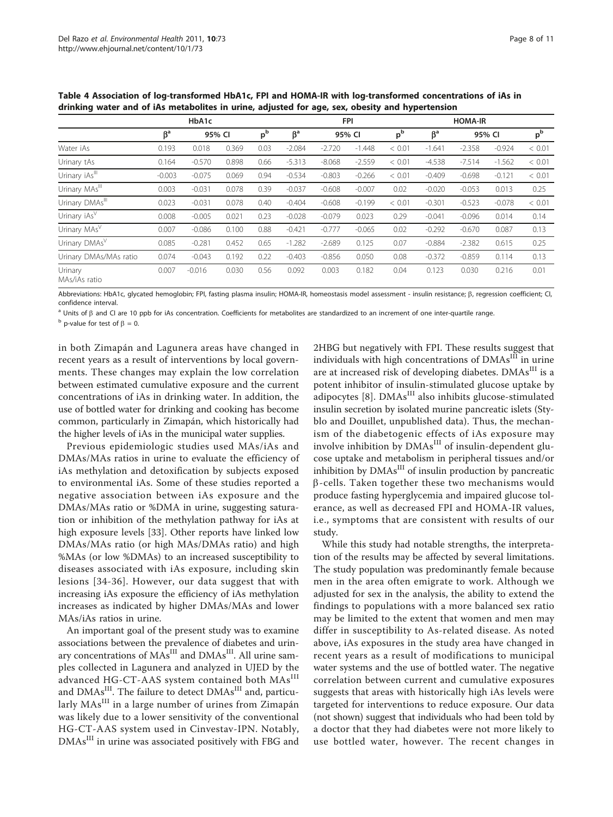<span id="page-7-0"></span>Table 4 Association of log-transformed HbA1c, FPI and HOMA-IR with log-transformed concentrations of iAs in drinking water and of iAs metabolites in urine, adjusted for age, sex, obesity and hypertension

|                             |                      | HbA1c    |       |       | <b>FPI</b> |          |          |        | <b>HOMA-IR</b> |          |          |        |
|-----------------------------|----------------------|----------|-------|-------|------------|----------|----------|--------|----------------|----------|----------|--------|
|                             | $\beta$ <sup>a</sup> | 95% CI   |       | $p^b$ | $\beta^a$  | 95% CI   |          | $p^b$  | $\beta^a$      | 95% CI   |          | $p^b$  |
| Water iAs                   | 0.193                | 0.018    | 0.369 | 0.03  | $-2.084$   | $-2.720$ | $-1.448$ | < 0.01 | $-1.641$       | $-2.358$ | $-0.924$ | < 0.01 |
| Urinary tAs                 | 0.164                | $-0.570$ | 0.898 | 0.66  | $-5.313$   | $-8.068$ | $-2.559$ | < 0.01 | $-4.538$       | $-7.514$ | $-1.562$ | < 0.01 |
| Urinary iAs <sup>III</sup>  | $-0.003$             | $-0.075$ | 0.069 | 0.94  | $-0.534$   | $-0.803$ | $-0.266$ | < 0.01 | $-0.409$       | $-0.698$ | $-0.121$ | < 0.01 |
| Urinary MAs <sup>III</sup>  | 0.003                | $-0.031$ | 0.078 | 0.39  | $-0.037$   | $-0.608$ | $-0.007$ | 0.02   | $-0.020$       | $-0.053$ | 0.013    | 0.25   |
| Urinary DMAs <sup>III</sup> | 0.023                | $-0.031$ | 0.078 | 0.40  | $-0.404$   | $-0.608$ | $-0.199$ | < 0.01 | $-0.301$       | $-0.523$ | $-0.078$ | < 0.01 |
| Urinary iAs <sup>V</sup>    | 0.008                | $-0.005$ | 0.021 | 0.23  | $-0.028$   | $-0.079$ | 0.023    | 0.29   | $-0.041$       | $-0.096$ | 0.014    | 0.14   |
| Urinary MAs <sup>V</sup>    | 0.007                | $-0.086$ | 0.100 | 0.88  | $-0.421$   | $-0.777$ | $-0.065$ | 0.02   | $-0.292$       | $-0.670$ | 0.087    | 0.13   |
| Urinary DMAs <sup>V</sup>   | 0.085                | $-0.281$ | 0.452 | 0.65  | $-1.282$   | $-2.689$ | 0.125    | 0.07   | $-0.884$       | $-2.382$ | 0.615    | 0.25   |
| Urinary DMAs/MAs ratio      | 0.074                | $-0.043$ | 0.192 | 0.22  | $-0.403$   | $-0.856$ | 0.050    | 0.08   | $-0.372$       | $-0.859$ | 0.114    | 0.13   |
| Urinary<br>MAs/iAs ratio    | 0.007                | $-0.016$ | 0.030 | 0.56  | 0.092      | 0.003    | 0.182    | 0.04   | 0.123          | 0.030    | 0.216    | 0.01   |

Abbreviations: HbA1c, glycated hemoglobin; FPI, fasting plasma insulin; HOMA-IR, homeostasis model assessment - insulin resistance;  $\beta$ , regression coefficient; CI, confidence interval.

<sup>a</sup> Units of  $\beta$  and CI are 10 ppb for iAs concentration. Coefficients for metabolites are standardized to an increment of one inter-quartile range.

 $<sup>b</sup>$  p-value for test of  $\beta = 0$ .</sup>

in both Zimapán and Lagunera areas have changed in recent years as a result of interventions by local governments. These changes may explain the low correlation between estimated cumulative exposure and the current concentrations of iAs in drinking water. In addition, the use of bottled water for drinking and cooking has become common, particularly in Zimapán, which historically had the higher levels of iAs in the municipal water supplies.

Previous epidemiologic studies used MAs/iAs and DMAs/MAs ratios in urine to evaluate the efficiency of iAs methylation and detoxification by subjects exposed to environmental iAs. Some of these studies reported a negative association between iAs exposure and the DMAs/MAs ratio or %DMA in urine, suggesting saturation or inhibition of the methylation pathway for iAs at high exposure levels [[33\]](#page-10-0). Other reports have linked low DMAs/MAs ratio (or high MAs/DMAs ratio) and high %MAs (or low %DMAs) to an increased susceptibility to diseases associated with iAs exposure, including skin lesions [[34-36\]](#page-10-0). However, our data suggest that with increasing iAs exposure the efficiency of iAs methylation increases as indicated by higher DMAs/MAs and lower MAs/iAs ratios in urine.

An important goal of the present study was to examine associations between the prevalence of diabetes and urinary concentrations of  $MAs<sup>III</sup>$  and  $DMAs<sup>III</sup>$ . All urine samples collected in Lagunera and analyzed in UJED by the advanced HG-CT-AAS system contained both MAs<sup>III</sup> and DMAs<sup>III</sup>. The failure to detect DMAs<sup>III</sup> and, particularly MAs<sup>III</sup> in a large number of urines from Zimapán was likely due to a lower sensitivity of the conventional HG-CT-AAS system used in Cinvestav-IPN. Notably, DMAs<sup>III</sup> in urine was associated positively with FBG and 2HBG but negatively with FPI. These results suggest that individuals with high concentrations of DMAs<sup>III</sup> in urine are at increased risk of developing diabetes. DMAs<sup>III</sup> is a potent inhibitor of insulin-stimulated glucose uptake by adipocytes [[8\]](#page-9-0).  $DMAs<sup>III</sup>$  also inhibits glucose-stimulated insulin secretion by isolated murine pancreatic islets (Styblo and Douillet, unpublished data). Thus, the mechanism of the diabetogenic effects of iAs exposure may involve inhibition by  $DMAs$ <sup>III</sup> of insulin-dependent glucose uptake and metabolism in peripheral tissues and/or inhibition by DMAs<sup>III</sup> of insulin production by pancreatic  $\beta$ -cells. Taken together these two mechanisms would produce fasting hyperglycemia and impaired glucose tolerance, as well as decreased FPI and HOMA-IR values, i.e., symptoms that are consistent with results of our study.

While this study had notable strengths, the interpretation of the results may be affected by several limitations. The study population was predominantly female because men in the area often emigrate to work. Although we adjusted for sex in the analysis, the ability to extend the findings to populations with a more balanced sex ratio may be limited to the extent that women and men may differ in susceptibility to As-related disease. As noted above, iAs exposures in the study area have changed in recent years as a result of modifications to municipal water systems and the use of bottled water. The negative correlation between current and cumulative exposures suggests that areas with historically high iAs levels were targeted for interventions to reduce exposure. Our data (not shown) suggest that individuals who had been told by a doctor that they had diabetes were not more likely to use bottled water, however. The recent changes in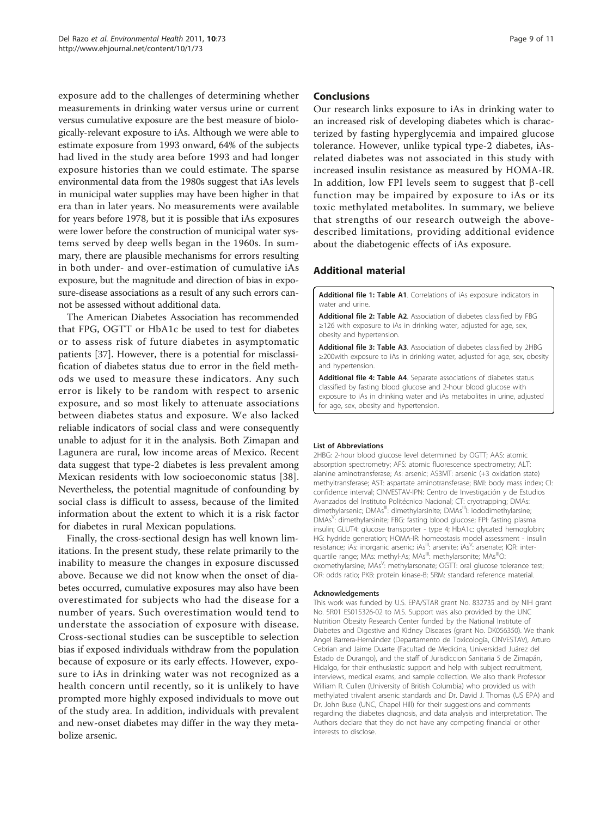<span id="page-8-0"></span>exposure add to the challenges of determining whether measurements in drinking water versus urine or current versus cumulative exposure are the best measure of biologically-relevant exposure to iAs. Although we were able to estimate exposure from 1993 onward, 64% of the subjects had lived in the study area before 1993 and had longer exposure histories than we could estimate. The sparse environmental data from the 1980s suggest that iAs levels in municipal water supplies may have been higher in that era than in later years. No measurements were available for years before 1978, but it is possible that iAs exposures were lower before the construction of municipal water systems served by deep wells began in the 1960s. In summary, there are plausible mechanisms for errors resulting in both under- and over-estimation of cumulative iAs exposure, but the magnitude and direction of bias in exposure-disease associations as a result of any such errors cannot be assessed without additional data.

The American Diabetes Association has recommended that FPG, OGTT or HbA1c be used to test for diabetes or to assess risk of future diabetes in asymptomatic patients [\[37\]](#page-10-0). However, there is a potential for misclassification of diabetes status due to error in the field methods we used to measure these indicators. Any such error is likely to be random with respect to arsenic exposure, and so most likely to attenuate associations between diabetes status and exposure. We also lacked reliable indicators of social class and were consequently unable to adjust for it in the analysis. Both Zimapan and Lagunera are rural, low income areas of Mexico. Recent data suggest that type-2 diabetes is less prevalent among Mexican residents with low socioeconomic status [[38](#page-10-0)]. Nevertheless, the potential magnitude of confounding by social class is difficult to assess, because of the limited information about the extent to which it is a risk factor for diabetes in rural Mexican populations.

Finally, the cross-sectional design has well known limitations. In the present study, these relate primarily to the inability to measure the changes in exposure discussed above. Because we did not know when the onset of diabetes occurred, cumulative exposures may also have been overestimated for subjects who had the disease for a number of years. Such overestimation would tend to understate the association of exposure with disease. Cross-sectional studies can be susceptible to selection bias if exposed individuals withdraw from the population because of exposure or its early effects. However, exposure to iAs in drinking water was not recognized as a health concern until recently, so it is unlikely to have prompted more highly exposed individuals to move out of the study area. In addition, individuals with prevalent and new-onset diabetes may differ in the way they metabolize arsenic.

### Conclusions

Our research links exposure to iAs in drinking water to an increased risk of developing diabetes which is characterized by fasting hyperglycemia and impaired glucose tolerance. However, unlike typical type-2 diabetes, iAsrelated diabetes was not associated in this study with increased insulin resistance as measured by HOMA-IR. In addition, low FPI levels seem to suggest that  $\beta$ -cell function may be impaired by exposure to iAs or its toxic methylated metabolites. In summary, we believe that strengths of our research outweigh the abovedescribed limitations, providing additional evidence about the diabetogenic effects of iAs exposure.

# Additional material

[Additional file 1: T](http://www.biomedcentral.com/content/supplementary/1476-069X-10-73-S1.DOC)able A1. Correlations of iAs exposure indicators in water and urine.

[Additional file 2: T](http://www.biomedcentral.com/content/supplementary/1476-069X-10-73-S2.DOC)able A2. Association of diabetes classified by FBG ≥126 with exposure to iAs in drinking water, adjusted for age, sex, obesity and hypertension.

[Additional file 3: T](http://www.biomedcentral.com/content/supplementary/1476-069X-10-73-S3.DOC)able A3. Association of diabetes classified by 2HBG ≥200with exposure to iAs in drinking water, adjusted for age, sex, obesity and hypertension.

[Additional file 4: T](http://www.biomedcentral.com/content/supplementary/1476-069X-10-73-S4.DOC)able A4. Separate associations of diabetes status classified by fasting blood glucose and 2-hour blood glucose with exposure to iAs in drinking water and iAs metabolites in urine, adjusted for age, sex, obesity and hypertension.

#### List of Abbreviations

2HBG: 2-hour blood glucose level determined by OGTT; AAS: atomic absorption spectrometry; AFS: atomic fluorescence spectrometry; ALT: alanine aminotransferase; As: arsenic; AS3MT: arsenic (+3 oxidation state) methyltransferase; AST: aspartate aminotransferase; BMI: body mass index; CI: confidence interval; CINVESTAV-IPN: Centro de Investigación y de Estudios Avanzados del Instituto Politécnico Nacional; CT: cryotrapping; DMAs: dimethylarsenic; DMAs<sup>III</sup>: dimethylarsinite; DMAs<sup>III</sup>I: iododimethylarsine; DMAs<sup>v</sup>: dimethylarsinite; FBG: fasting blood glucose; FPI: fasting plasma insulin; GLUT4: glucose transporter - type 4; HbA1c: glycated hemoglobin; HG: hydride generation; HOMA-IR: homeostasis model assessment - insulin resistance; iAs: inorganic arsenic; iAs<sup>III</sup>: arsenite; iAs<sup>V</sup>: arsenate; IQR: interquartile range; MAs: methyl-As; MAs<sup>III</sup>: methylarsonite; MAs<sup>III</sup>O: oxomethylarsine; MAs<sup>V</sup>: methylarsonate; OGTT: oral glucose tolerance test; OR: odds ratio; PKB: protein kinase-B; SRM: standard reference material.

#### Acknowledgements

This work was funded by U.S. EPA/STAR grant No. 832735 and by NIH grant No. 5R01 ES015326-02 to M.S. Support was also provided by the UNC Nutrition Obesity Research Center funded by the National Institute of Diabetes and Digestive and Kidney Diseases (grant No. DK056350). We thank Angel Barrera-Hernández (Departamento de Toxicología, CINVESTAV), Arturo Cebrian and Jaime Duarte (Facultad de Medicina, Universidad Juárez del Estado de Durango), and the staff of Jurisdiccion Sanitaria 5 de Zimapán, Hidalgo, for their enthusiastic support and help with subject recruitment, interviews, medical exams, and sample collection. We also thank Professor William R. Cullen (University of British Columbia) who provided us with methylated trivalent arsenic standards and Dr. David J. Thomas (US EPA) and Dr. John Buse (UNC, Chapel Hill) for their suggestions and comments regarding the diabetes diagnosis, and data analysis and interpretation. The Authors declare that they do not have any competing financial or other interests to disclose.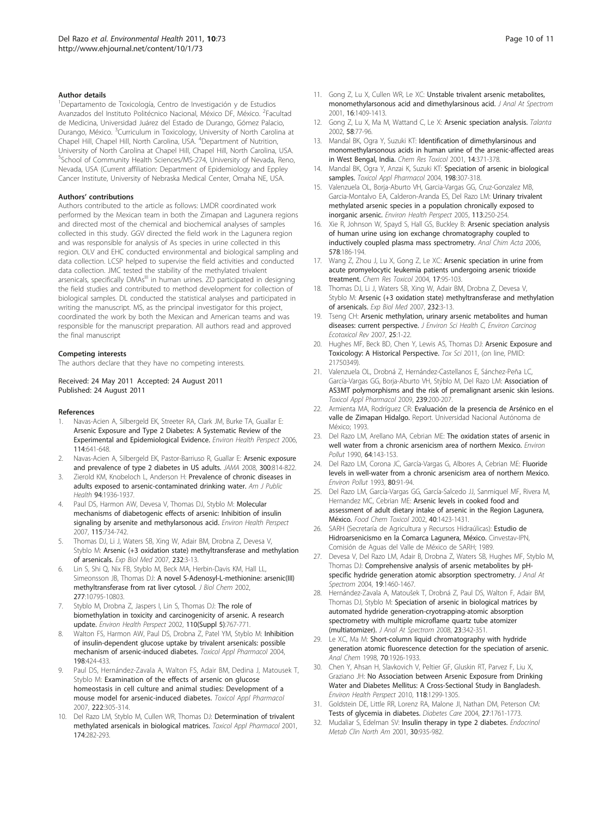#### <span id="page-9-0"></span>Author details

1 Departamento de Toxicología, Centro de Investigación y de Estudios Avanzados del Instituto Politécnico Nacional, México DF, México. <sup>2</sup>Facultad de Medicina, Universidad Juárez del Estado de Durango, Gómez Palacio, Durango, México. <sup>3</sup>Curriculum in Toxicology, University of North Carolina at<br>Chapel Hill, Chapel Hill, North Carolina, USA. <sup>4</sup>Department of Nutrition, University of North Carolina at Chapel Hill, Chapel Hill, North Carolina, USA. <sup>5</sup>School of Community Health Sciences/MS-274, University of Nevada, Reno, Nevada, USA (Current affiliation: Department of Epidemiology and Eppley Cancer Institute, University of Nebraska Medical Center, Omaha NE, USA.

#### Authors' contributions

Authors contributed to the article as follows: LMDR coordinated work performed by the Mexican team in both the Zimapan and Lagunera regions and directed most of the chemical and biochemical analyses of samples collected in this study. GGV directed the field work in the Lagunera region and was responsible for analysis of As species in urine collected in this region. OLV and EHC conducted environmental and biological sampling and data collection. LCSP helped to supervise the field activities and conducted data collection. JMC tested the stability of the methylated trivalent arsenicals, specifically DMAs<sup>III</sup> in human urines. ZD participated in designing the field studies and contributed to method development for collection of biological samples. DL conducted the statistical analyses and participated in writing the manuscript. MS, as the principal investigator for this project, coordinated the work by both the Mexican and American teams and was responsible for the manuscript preparation. All authors read and approved the final manuscript

#### Competing interests

The authors declare that they have no competing interests.

Received: 24 May 2011 Accepted: 24 August 2011 Published: 24 August 2011

#### References

- 1. Navas-Acien A, Silbergeld EK, Streeter RA, Clark JM, Burke TA, Guallar E: [Arsenic Exposure and Type 2 Diabetes: A Systematic Review of the](http://www.ncbi.nlm.nih.gov/pubmed/16675414?dopt=Abstract) [Experimental and Epidemiological Evidence.](http://www.ncbi.nlm.nih.gov/pubmed/16675414?dopt=Abstract) Environ Health Perspect 2006, 114:641-648.
- 2. Navas-Acien A, Silbergeld EK, Pastor-Barriuso R, Guallar E: [Arsenic exposure](http://www.ncbi.nlm.nih.gov/pubmed/18714061?dopt=Abstract) [and prevalence of type 2 diabetes in US adults.](http://www.ncbi.nlm.nih.gov/pubmed/18714061?dopt=Abstract) JAMA 2008, 300:814-822.
- Zierold KM, Knobeloch L, Anderson H: Prevalence of chronic diseases in adults exposed to arsenic-contaminated drinking water. Am J Public Health 94:1936-1937.
- 4. Paul DS, Harmon AW, Devesa V, Thomas DJ, Styblo M: [Molecular](http://www.ncbi.nlm.nih.gov/pubmed/17520061?dopt=Abstract) [mechanisms of diabetogenic effects of arsenic: Inhibition of insulin](http://www.ncbi.nlm.nih.gov/pubmed/17520061?dopt=Abstract) [signaling by arsenite and methylarsonous acid.](http://www.ncbi.nlm.nih.gov/pubmed/17520061?dopt=Abstract) Environ Health Perspect 2007, 115:734-742.
- Thomas DJ, Li J, Waters SB, Xing W, Adair BM, Drobna Z, Devesa V, Styblo M: Arsenic (+3 oxidation state) methyltransferase and methylation of arsenicals. Exp Biol Med 2007, 232:3-13.
- 6. Lin S, Shi Q, Nix FB, Styblo M, Beck MA, Herbin-Davis KM, Hall LL, Simeonsson JB, Thomas DJ: [A novel S-Adenosyl-L-methionine: arsenic\(III\)](http://www.ncbi.nlm.nih.gov/pubmed/11790780?dopt=Abstract) [methyltransferase from rat liver cytosol.](http://www.ncbi.nlm.nih.gov/pubmed/11790780?dopt=Abstract) J Biol Chem 2002, 277:10795-10803.
- 7. Styblo M, Drobna Z, Jaspers I, Lin S, Thomas DJ: [The role of](http://www.ncbi.nlm.nih.gov/pubmed/12426129?dopt=Abstract) [biomethylation in toxicity and carcinogenicity of arsenic. A research](http://www.ncbi.nlm.nih.gov/pubmed/12426129?dopt=Abstract) [update.](http://www.ncbi.nlm.nih.gov/pubmed/12426129?dopt=Abstract) Environ Health Perspect 2002, 110(Suppl 5):767-771.
- 8. Walton FS, Harmon AW, Paul DS, Drobna Z, Patel YM, Styblo M: [Inhibition](http://www.ncbi.nlm.nih.gov/pubmed/15276423?dopt=Abstract) [of insulin-dependent glucose uptake by trivalent arsenicals: possible](http://www.ncbi.nlm.nih.gov/pubmed/15276423?dopt=Abstract) [mechanism of arsenic-induced diabetes.](http://www.ncbi.nlm.nih.gov/pubmed/15276423?dopt=Abstract) Toxicol Appl Pharmacol 2004, 198:424-433.
- Paul DS, Hernández-Zavala A, Walton FS, Adair BM, Dedina J, Matousek T, Styblo M: [Examination of the effects of arsenic on glucose](http://www.ncbi.nlm.nih.gov/pubmed/17336358?dopt=Abstract) [homeostasis in cell culture and animal studies: Development of a](http://www.ncbi.nlm.nih.gov/pubmed/17336358?dopt=Abstract) [mouse model for arsenic-induced diabetes.](http://www.ncbi.nlm.nih.gov/pubmed/17336358?dopt=Abstract) Toxicol Appl Pharmacol 2007, 222:305-314.
- 10. Del Razo LM, Styblo M, Cullen WR, Thomas DJ: [Determination of trivalent](http://www.ncbi.nlm.nih.gov/pubmed/11485389?dopt=Abstract) [methylated arsenicals in biological matrices.](http://www.ncbi.nlm.nih.gov/pubmed/11485389?dopt=Abstract) Toxicol Appl Pharmacol 2001, 174:282-293.
- 11. Gong Z, Lu X, Cullen WR, Le XC: Unstable trivalent arsenic metabolites, monomethylarsonous acid and dimethylarsinous acid. J Anal At Spectrom 2001, 16:1409-1413.
- 12. Gong Z, Lu X, Ma M, Wattand C, Le X: [Arsenic speciation analysis.](http://www.ncbi.nlm.nih.gov/pubmed/18968736?dopt=Abstract) Talanta 2002, 58:77-96.
- 13. Mandal BK, Ogra Y, Suzuki KT: [Identification of dimethylarsinous and](http://www.ncbi.nlm.nih.gov/pubmed/11304125?dopt=Abstract) [monomethylarsonous acids in human urine of the arsenic-affected areas](http://www.ncbi.nlm.nih.gov/pubmed/11304125?dopt=Abstract) [in West Bengal, India.](http://www.ncbi.nlm.nih.gov/pubmed/11304125?dopt=Abstract) Chem Res Toxicol 2001, 14:371-378.
- 14. Mandal BK, Ogra Y, Anzai K, Suzuki KT: [Speciation of arsenic in biological](http://www.ncbi.nlm.nih.gov/pubmed/15276410?dopt=Abstract) [samples.](http://www.ncbi.nlm.nih.gov/pubmed/15276410?dopt=Abstract) Toxicol Appl Pharmacol 2004, 198:307-318.
- 15. Valenzuela OL, Borja-Aburto VH, Garcia-Vargas GG, Cruz-Gonzalez MB, Garcia-Montalvo EA, Calderon-Aranda ES, Del Razo LM: [Urinary trivalent](http://www.ncbi.nlm.nih.gov/pubmed/15743710?dopt=Abstract) [methylated arsenic species in a population chronically exposed to](http://www.ncbi.nlm.nih.gov/pubmed/15743710?dopt=Abstract) [inorganic arsenic.](http://www.ncbi.nlm.nih.gov/pubmed/15743710?dopt=Abstract) Environ Health Perspect 2005, 113:250-254.
- 16. Xie R, Johnson W, Spayd S, Hall GS, Buckley B: [Arsenic speciation analysis](http://www.ncbi.nlm.nih.gov/pubmed/17723711?dopt=Abstract) [of human urine using ion exchange chromatography coupled to](http://www.ncbi.nlm.nih.gov/pubmed/17723711?dopt=Abstract) [inductively coupled plasma mass spectrometry.](http://www.ncbi.nlm.nih.gov/pubmed/17723711?dopt=Abstract) Anal Chim Acta 2006, 578:186-194.
- 17. Wang Z, Zhou J, Lu X, Gong Z, Le XC: [Arsenic speciation in urine from](http://www.ncbi.nlm.nih.gov/pubmed/14727923?dopt=Abstract) [acute promyelocytic leukemia patients undergoing arsenic trioxide](http://www.ncbi.nlm.nih.gov/pubmed/14727923?dopt=Abstract) [treatment.](http://www.ncbi.nlm.nih.gov/pubmed/14727923?dopt=Abstract) Chem Res Toxicol 2004, 17:95-103.
- 18. Thomas DJ, Li J, Waters SB, Xing W, Adair BM, Drobna Z, Devesa V, Styblo M: Arsenic (+3 oxidation state) methyltransferase and methylation of arsenicals. Exp Biol Med 2007, 232:3-13.
- 19. Tseng CH: Arsenic methylation, urinary arsenic metabolites and human diseases: current perspective. J Environ Sci Health C, Environ Carcinog Ecotoxicol Rev 2007, 25:1-22.
- 20. Hughes ME, Beck BD, Chen Y, Lewis AS, Thomas DJ: Arsenic Exposure and Toxicology: A Historical Perspective. Tox Sci 2011, (on line, PMID: 21750349).
- 21. Valenzuela OL, Drobná Z, Hernández-Castellanos E, Sánchez-Peña LC, García-Vargas GG, Borja-Aburto VH, Stýblo M, Del Razo LM: [Association of](http://www.ncbi.nlm.nih.gov/pubmed/19538983?dopt=Abstract) [AS3MT polymorphisms and the risk of premalignant arsenic skin lesions.](http://www.ncbi.nlm.nih.gov/pubmed/19538983?dopt=Abstract) Toxicol Appl Pharmacol 2009, 239:200-207.
- 22. Armienta MA, Rodríguez CR: Evaluación de la presencia de Arsénico en el valle de Zimapan Hidalgo. Report. Universidad Nacional Autónoma de México; 1993.
- 23. Del Razo LM, Arellano MA, Cebrian ME: [The oxidation states of arsenic in](http://www.ncbi.nlm.nih.gov/pubmed/15092299?dopt=Abstract) [well water from a chronic arsenicism area of northern Mexico.](http://www.ncbi.nlm.nih.gov/pubmed/15092299?dopt=Abstract) Environ Pollut 1990, 64:143-153.
- 24. Del Razo LM, Corona JC, García-Vargas G, Albores A, Cebrian ME: [Fluoride](http://www.ncbi.nlm.nih.gov/pubmed/15091878?dopt=Abstract) [levels in well-water from a chronic arsenicism area of northern Mexico.](http://www.ncbi.nlm.nih.gov/pubmed/15091878?dopt=Abstract) Environ Pollut 1993, 80:91-94.
- 25. Del Razo LM, García-Vargas GG, García-Salcedo JJ, Sanmiquel MF, Rivera M, Hernandez MC, Cebrian ME: [Arsenic levels in cooked food and](http://www.ncbi.nlm.nih.gov/pubmed/12387304?dopt=Abstract) [assessment of adult dietary intake of arsenic in the Region Lagunera,](http://www.ncbi.nlm.nih.gov/pubmed/12387304?dopt=Abstract) [México.](http://www.ncbi.nlm.nih.gov/pubmed/12387304?dopt=Abstract) Food Chem Toxicol 2002, 40:1423-1431.
- 26. SARH (Secretaría de Agricultura y Recursos Hidraúlicas): Estudio de Hidroarsenicismo en la Comarca Lagunera, México. Cinvestav-IPN, Comisión de Aguas del Valle de México de SARH; 1989.
- 27. Devesa V, Del Razo LM, Adair B, Drobna Z, Waters SB, Hughes MF, Styblo M, Thomas DJ: Comprehensive analysis of arsenic metabolites by pHspecific hydride generation atomic absorption spectrometry. J Anal At Spectrom 2004, 19:1460-1467.
- 28. Hernández-Zavala A, Matoušek T, Drobná Z, Paul DS, Walton F, Adair BM, Thomas DJ, Styblo M: [Speciation of arsenic in biological matrices by](http://www.ncbi.nlm.nih.gov/pubmed/18677417?dopt=Abstract) [automated hydride generation-cryotrapping-atomic absorption](http://www.ncbi.nlm.nih.gov/pubmed/18677417?dopt=Abstract) [spectrometry with multiple microflame quartz tube atomizer](http://www.ncbi.nlm.nih.gov/pubmed/18677417?dopt=Abstract) [\(multiatomizer\).](http://www.ncbi.nlm.nih.gov/pubmed/18677417?dopt=Abstract) J Anal At Spectrom 2008, 23:342-351.
- 29. Le XC, Ma M: [Short-column liquid chromatography with hydride](http://www.ncbi.nlm.nih.gov/pubmed/9599587?dopt=Abstract) [generation atomic fluorescence detection for the speciation of arsenic.](http://www.ncbi.nlm.nih.gov/pubmed/9599587?dopt=Abstract) Anal Chem 1998, 70:1926-1933.
- 30. Chen Y, Ahsan H, Slavkovich V, Peltier GF, Gluskin RT, Parvez F, Liu X, Graziano JH: [No Association between Arsenic Exposure from Drinking](http://www.ncbi.nlm.nih.gov/pubmed/20813654?dopt=Abstract) [Water and Diabetes Mellitus: A Cross-Sectional Study in Bangladesh.](http://www.ncbi.nlm.nih.gov/pubmed/20813654?dopt=Abstract) Environ Health Perspect 2010, 118:1299-1305.
- 31. Goldstein DE, Little RR, Lorenz RA, Malone JI, Nathan DM, Peterson CM: [Tests of glycemia in diabetes.](http://www.ncbi.nlm.nih.gov/pubmed/15220264?dopt=Abstract) Diabetes Care 2004, 27:1761-1773.
- 32. Mudaliar S, Edelman SV: [Insulin therapy in type 2 diabetes.](http://www.ncbi.nlm.nih.gov/pubmed/11727406?dopt=Abstract) Endocrinol Metab Clin North Am 2001, 30:935-982.